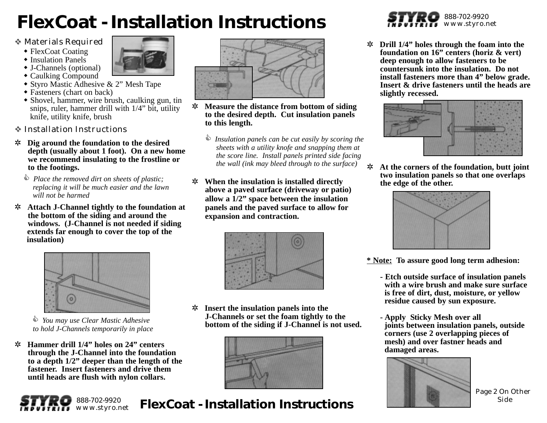# **FlexCoat - Installation Instructions**

- Materials Required
	- FlexCoat Coating
	- Insulation Panels
	- J-Channels (optional)
	- Caulking Compound
	- Styro Mastic Adhesive & 2" Mesh Tape
	- Fasteners (chart on back)
	- Shovel, hammer, wire brush, caulking gun, tin snips, ruler, hammer drill with 1/4" bit, utility knife, utility knife, brush
- ◆ Installation Instructions
- ✲ **Dig around the foundation to the desired depth (usually about 1 foot). On a new home we recommend insulating to the frostline or to the footings.** 
	- *Place the removed dirt on sheets of plastic; replacing it will be much easier and the lawn will not be harmed*
- ✲ **Attach J-Channel tightly to the foundation at the bottom of the siding and around the windows. (J-Channel is not needed if siding extends far enough to cover the top of the insulation)**



 *You may use Clear Mastic Adhesive to hold J-Channels temporarily in place* 

✲ **Hammer drill 1/4" holes on 24" centers through the J-Channel into the foundation to a depth 1/2" deeper than the length of the fastener. Insert fasteners and drive them until heads are flush with nylon collars.**





- ✲ **Measure the distance from bottom of siding to the desired depth. Cut insulation panels to this length.**
	- *Insulation panels can be cut easily by scoring the sheets with a utility knofe and snapping them at the score line. Install panels printed side facing the wall (ink may bleed through to the surface)*
- ✲ **When the insulation is installed directly above a paved surface (driveway or patio) allow a 1/2" space between the insulation panels and the paved surface to allow for expansion and contraction.**



✲ **Insert the insulation panels into the J-Channels or set the foam tightly to the bottom of the siding if J-Channel is not used.**



**FlexCoat - Installation Instructions**



✲ **Drill 1/4" holes through the foam into the foundation on 16" centers (horiz & vert) deep enough to allow fasteners to be countersunk into the insulation. Do not install fasteners more than 4" below grade. Insert & drive fasteners until the heads are slightly recessed.**



✲ **At the corners of the foundation, butt joint two insulation panels so that one overlaps the edge of the other.**



**\* Note: To assure good long term adhesion:**

- **Etch outside surface of insulation panels with a wire brush and make sure surface is free of dirt, dust, moisture, or yellow residue caused by sun exposure.**
- **Apply Sticky Mesh over all joints between insulation panels, outside corners (use 2 overlapping pieces of mesh) and over fastner heads and damaged areas.**



Page 2 On Other Side